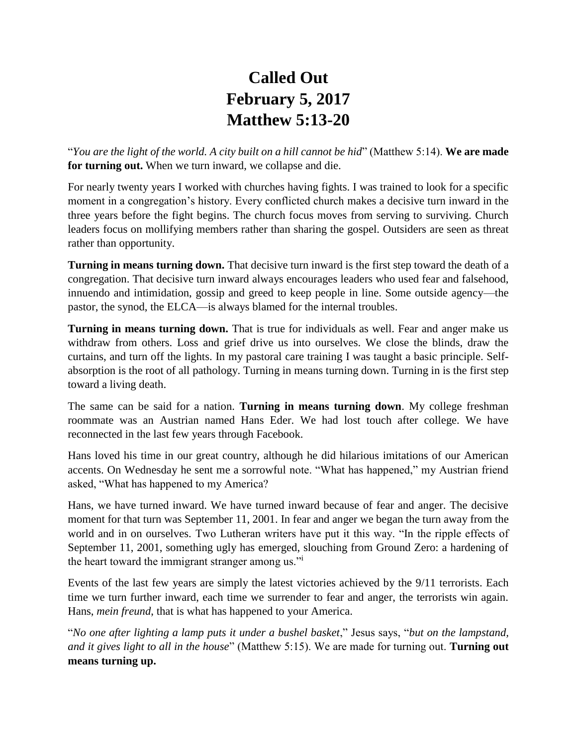## **Called Out February 5, 2017 Matthew 5:13-20**

"*You are the light of the world. A city built on a hill cannot be hid*" (Matthew 5:14). **We are made for turning out.** When we turn inward, we collapse and die.

For nearly twenty years I worked with churches having fights. I was trained to look for a specific moment in a congregation's history. Every conflicted church makes a decisive turn inward in the three years before the fight begins. The church focus moves from serving to surviving. Church leaders focus on mollifying members rather than sharing the gospel. Outsiders are seen as threat rather than opportunity.

**Turning in means turning down.** That decisive turn inward is the first step toward the death of a congregation. That decisive turn inward always encourages leaders who used fear and falsehood, innuendo and intimidation, gossip and greed to keep people in line. Some outside agency—the pastor, the synod, the ELCA—is always blamed for the internal troubles.

**Turning in means turning down.** That is true for individuals as well. Fear and anger make us withdraw from others. Loss and grief drive us into ourselves. We close the blinds, draw the curtains, and turn off the lights. In my pastoral care training I was taught a basic principle. Selfabsorption is the root of all pathology. Turning in means turning down. Turning in is the first step toward a living death.

The same can be said for a nation. **Turning in means turning down**. My college freshman roommate was an Austrian named Hans Eder. We had lost touch after college. We have reconnected in the last few years through Facebook.

Hans loved his time in our great country, although he did hilarious imitations of our American accents. On Wednesday he sent me a sorrowful note. "What has happened," my Austrian friend asked, "What has happened to my America?

Hans, we have turned inward. We have turned inward because of fear and anger. The decisive moment for that turn was September 11, 2001. In fear and anger we began the turn away from the world and in on ourselves. Two Lutheran writers have put it this way. "In the ripple effects of September 11, 2001, something ugly has emerged, slouching from Ground Zero: a hardening of the heart toward the immigrant stranger among us."<sup>i</sup>

Events of the last few years are simply the latest victories achieved by the 9/11 terrorists. Each time we turn further inward, each time we surrender to fear and anger, the terrorists win again. Hans, *mein freund*, that is what has happened to your America.

"*No one after lighting a lamp puts it under a bushel basket*," Jesus says, "*but on the lampstand, and it gives light to all in the house*" (Matthew 5:15). We are made for turning out. **Turning out means turning up.**